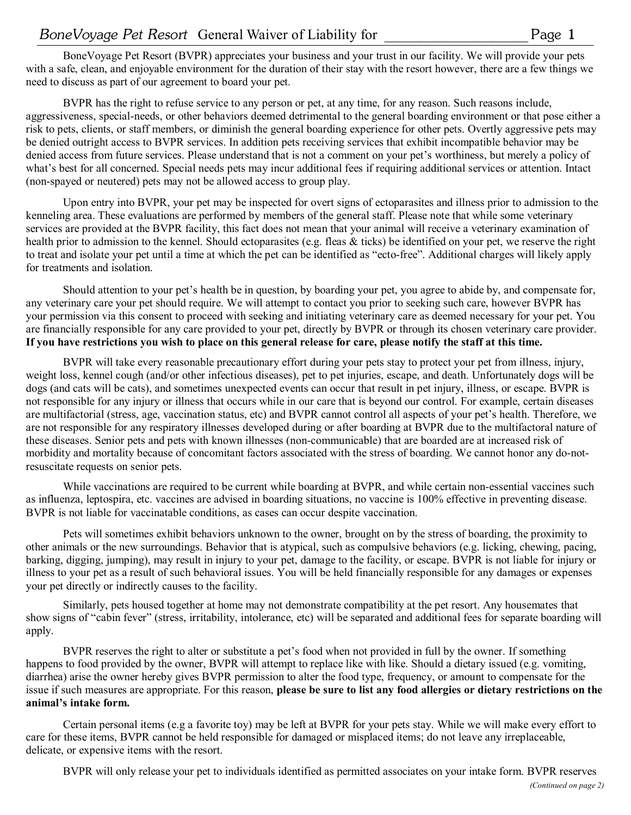BoneVoyage Pet Resort (BVPR) appreciates your business and your trust in our facility. We will provide your pets with a safe, clean, and enjoyable environment for the duration of their stay with the resort however, there are a few things we need to discuss as part of our agreement to board your pet.

BVPR has the right to refuse service to any person or pet, at any time, for any reason. Such reasons include, aggressiveness, special-needs, or other behaviors deemed detrimental to the general boarding environment or that pose either a risk to pets, clients, or staff members, or diminish the general boarding experience for other pets. Overtly aggressive pets may be denied outright access to BVPR services. In addition pets receiving services that exhibit incompatible behavior may be denied access from future services. Please understand that is not a comment on your pet's worthiness, but merely a policy of what's best for all concerned. Special needs pets may incur additional fees if requiring additional services or attention. Intact (non-spayed or neutered) pets may not be allowed access to group play.

Upon entry into BVPR, your pet may be inspected for overt signs of ectoparasites and illness prior to admission to the kenneling area. These evaluations are performed by members of the general staff. Please note that while some veterinary services are provided at the BVPR facility, this fact does not mean that your animal will receive a veterinary examination of health prior to admission to the kennel. Should ectoparasites (e.g. fleas & ticks) be identified on your pet, we reserve the right to treat and isolate your pet until a time at which the pet can be identified as "ecto-free". Additional charges will likely apply for treatments and isolation.

Should attention to your pet's health be in question, by boarding your pet, you agree to abide by, and compensate for, any veterinary care your pet should require. We will attempt to contact you prior to seeking such care, however BVPR has your permission via this consent to proceed with seeking and initiating veterinary care as deemed necessary for your pet. You are financially responsible for any care provided to your pet, directly by BVPR or through its chosen veterinary care provider. **If you have restrictions you wish to place on this general release for care, please notify the staff at this time.**

BVPR will take every reasonable precautionary effort during your pets stay to protect your pet from illness, injury, weight loss, kennel cough (and/or other infectious diseases), pet to pet injuries, escape, and death. Unfortunately dogs will be dogs (and cats will be cats), and sometimes unexpected events can occur that result in pet injury, illness, or escape. BVPR is not responsible for any injury or illness that occurs while in our care that is beyond our control. For example, certain diseases are multifactorial (stress, age, vaccination status, etc) and BVPR cannot control all aspects of your pet's health. Therefore, we are not responsible for any respiratory illnesses developed during or after boarding at BVPR due to the multifactoral nature of these diseases. Senior pets and pets with known illnesses (non-communicable) that are boarded are at increased risk of morbidity and mortality because of concomitant factors associated with the stress of boarding. We cannot honor any do-notresuscitate requests on senior pets.

While vaccinations are required to be current while boarding at BVPR, and while certain non-essential vaccines such as influenza, leptospira, etc. vaccines are advised in boarding situations, no vaccine is 100% effective in preventing disease. BVPR is not liable for vaccinatable conditions, as cases can occur despite vaccination.

Pets will sometimes exhibit behaviors unknown to the owner, brought on by the stress of boarding, the proximity to other animals or the new surroundings. Behavior that is atypical, such as compulsive behaviors (e.g. licking, chewing, pacing, barking, digging, jumping), may result in injury to your pet, damage to the facility, or escape. BVPR is not liable for injury or illness to your pet as a result of such behavioral issues. You will be held financially responsible for any damages or expenses your pet directly or indirectly causes to the facility.

Similarly, pets housed together at home may not demonstrate compatibility at the pet resort. Any housemates that show signs of "cabin fever" (stress, irritability, intolerance, etc) will be separated and additional fees for separate boarding will apply.

BVPR reserves the right to alter or substitute a pet's food when not provided in full by the owner. If something happens to food provided by the owner, BVPR will attempt to replace like with like. Should a dietary issued (e.g. vomiting, diarrhea) arise the owner hereby gives BVPR permission to alter the food type, frequency, or amount to compensate for the issue if such measures are appropriate. For this reason, **please be sure to list any food allergies or dietary restrictions on the animal's intake form.**

Certain personal items (e.g a favorite toy) may be left at BVPR for your pets stay. While we will make every effort to care for these items, BVPR cannot be held responsible for damaged or misplaced items; do not leave any irreplaceable, delicate, or expensive items with the resort.

BVPR will only release your pet to individuals identified as permitted associates on your intake form. BVPR reserves